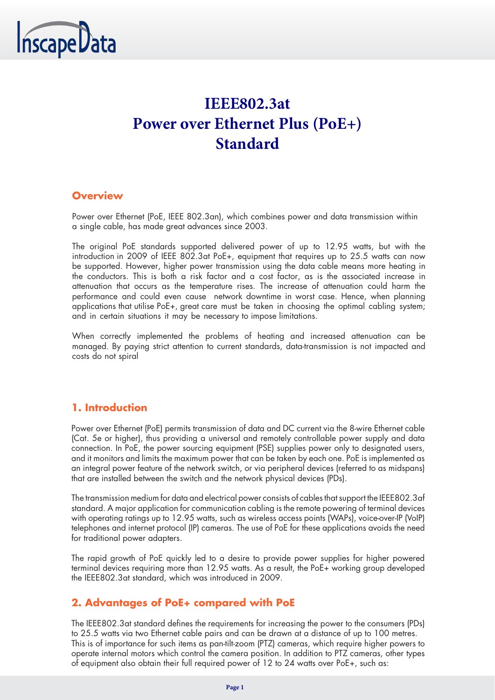

# **IEEE802.3at Power over Ethernet Plus (PoE+) Standard**

## **Overview**

Power over Ethernet (PoE, IEEE 802.3an), which combines power and data transmission within a single cable, has made great advances since 2003.

The original PoE standards supported delivered power of up to 12.95 watts, but with the introduction in 2009 of IEEE 802.3at PoE+, equipment that requires up to 25.5 watts can now be supported. However, higher power transmission using the data cable means more heating in the conductors. This is both a risk factor and a cost factor, as is the associated increase in attenuation that occurs as the temperature rises. The increase of attenuation could harm the performance and could even cause network downtime in worst case. Hence, when planning applications that utilise PoE+, great care must be taken in choosing the optimal cabling system; and in certain situations it may be necessary to impose limitations.

When correctly implemented the problems of heating and increased attenuation can be managed. By paying strict attention to current standards, data-transmission is not impacted and costs do not spiral

## **1. Introduction**

Power over Ethernet (PoE) permits transmission of data and DC current via the 8-wire Ethernet cable (Cat. 5e or higher), thus providing a universal and remotely controllable power supply and data connection. In PoE, the power sourcing equipment (PSE) supplies power only to designated users, and it monitors and limits the maximum power that can be taken by each one. PoE is implemented as an integral power feature of the network switch, or via peripheral devices (referred to as midspans) that are installed between the switch and the network physical devices (PDs).

The transmission medium for data and electrical power consists of cables that support the IEEE802.3af standard. A major application for communication cabling is the remote powering of terminal devices with operating ratings up to 12.95 watts, such as wireless access points (WAPs), voice-over-IP (VoIP) telephones and internet protocol (IP) cameras. The use of PoE for these applications avoids the need for traditional power adapters.

The rapid growth of PoE quickly led to a desire to provide power supplies for higher powered terminal devices requiring more than 12.95 watts. As a result, the PoE+ working group developed the IEEE802.3at standard, which was introduced in 2009.

## **2. Advantages of PoE+ compared with PoE**

The IEEE802.3at standard defines the requirements for increasing the power to the consumers (PDs) to 25.5 watts via two Ethernet cable pairs and can be drawn at a distance of up to 100 metres. This is of importance for such items as pan-tilt-zoom (PTZ) cameras, which require higher powers to operate internal motors which control the camera position. In addition to PTZ cameras, other types of equipment also obtain their full required power of 12 to 24 watts over PoE+, such as: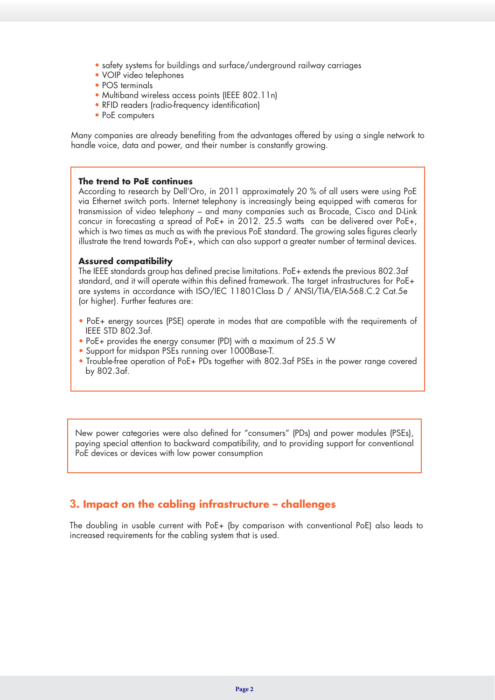- safety systems for buildings and surface/underground railway carriages
- VOIP video telephones
- POS terminals
- Multiband wireless access points (IEEE 802.11n)
- RFID readers (radio-frequency identification)
- PoE computers

Many companies are already benefiting from the advantages offered by using a single network to handle voice, data and power, and their number is constantly growing.

#### **The trend to PoE continues**

According to research by Dell'Oro, in 2011 approximately 20 % of all users were using PoE via Ethernet switch ports. Internet telephony is increasingly being equipped with cameras for transmission of video telephony – and many companies such as Brocade, Cisco and D-Link concur in forecasting a spread of PoE+ in 2012. 25.5 watts can be delivered over PoE+, which is two times as much as with the previous PoE standard. The growing sales figures clearly illustrate the trend towards PoE+, which can also support a greater number of terminal devices.

#### **Assured compatibility**

The IEEE standards group has defined precise limitations. PoE+ extends the previous 802.3af standard, and it will operate within this defined framework. The target infrastructures for PoE+ are systems in accordance with ISO/IEC 11801Class D / ANSI/TIA/EIA-568.C.2 Cat.5e (or higher). Further features are:

- PoE+ energy sources (PSE) operate in modes that are compatible with the requirements of IEEE STD 802.3af.
- PoE+ provides the energy consumer (PD) with a maximum of 25.5 W
- Support for midspan PSEs running over 1000Base-T.
- Trouble-free operation of PoE+ PDs together with 802.3af PSEs in the power range covered by 802.3af.

New power categories were also defined for "consumers" (PDs) and power modules (PSEs), paying special attention to backward compatibility, and to providing support for conventional PoE devices or devices with low power consumption

### **3. Impact on the cabling infrastructure – challenges**

The doubling in usable current with PoE+ (by comparison with conventional PoE) also leads to increased requirements for the cabling system that is used.